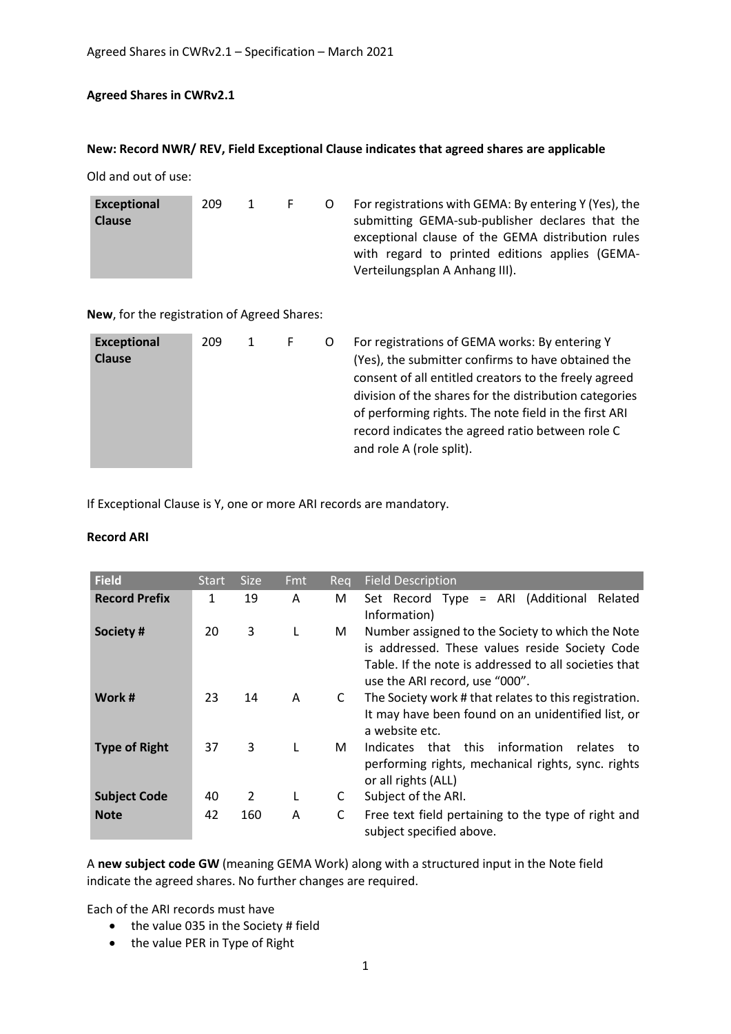## **Agreed Shares in CWRv2.1**

## **New: Record NWR/ REV, Field Exceptional Clause indicates that agreed shares are applicable**

Old and out of use:

| Exceptional<br><b>Clause</b> | 209 |  | $\vdash$ |  | For registrations with GEMA: By entering Y (Yes), the<br>submitting GEMA-sub-publisher declares that the<br>exceptional clause of the GEMA distribution rules<br>with regard to printed editions applies (GEMA-<br>Verteilungsplan A Anhang III). |
|------------------------------|-----|--|----------|--|---------------------------------------------------------------------------------------------------------------------------------------------------------------------------------------------------------------------------------------------------|
|------------------------------|-----|--|----------|--|---------------------------------------------------------------------------------------------------------------------------------------------------------------------------------------------------------------------------------------------------|

**New**, for the registration of Agreed Shares:

| <b>Exceptional</b><br><b>Clause</b> | 209 |  |  |  | For registrations of GEMA works: By entering Y<br>(Yes), the submitter confirms to have obtained the<br>consent of all entitled creators to the freely agreed<br>division of the shares for the distribution categories<br>of performing rights. The note field in the first ARI<br>record indicates the agreed ratio between role C<br>and role A (role split). |
|-------------------------------------|-----|--|--|--|------------------------------------------------------------------------------------------------------------------------------------------------------------------------------------------------------------------------------------------------------------------------------------------------------------------------------------------------------------------|
|-------------------------------------|-----|--|--|--|------------------------------------------------------------------------------------------------------------------------------------------------------------------------------------------------------------------------------------------------------------------------------------------------------------------------------------------------------------------|

If Exceptional Clause is Y, one or more ARI records are mandatory.

## **Record ARI**

| <b>Field</b>         | <b>Start</b> | <b>Size</b> | <b>Fmt</b> | Reg | <b>Field Description</b>                                                                                                                                                                      |
|----------------------|--------------|-------------|------------|-----|-----------------------------------------------------------------------------------------------------------------------------------------------------------------------------------------------|
| <b>Record Prefix</b> | 1            | 19          | A          | М   | Set Record Type = ARI (Additional Related<br>Information)                                                                                                                                     |
| Society#             | 20           | 3           | L          | М   | Number assigned to the Society to which the Note<br>is addressed. These values reside Society Code<br>Table. If the note is addressed to all societies that<br>use the ARI record, use "000". |
| Work #               | 23           | 14          | A          | C   | The Society work # that relates to this registration.<br>It may have been found on an unidentified list, or<br>a website etc.                                                                 |
| <b>Type of Right</b> | 37           | 3           | L          | М   | this information<br>Indicates that<br>relates<br>to<br>performing rights, mechanical rights, sync. rights<br>or all rights (ALL)                                                              |
| <b>Subject Code</b>  | 40           | 2           |            | C   | Subject of the ARI.                                                                                                                                                                           |
| <b>Note</b>          | 42           | 160         | A          | C   | Free text field pertaining to the type of right and<br>subject specified above.                                                                                                               |

A **new subject code GW** (meaning GEMA Work) along with a structured input in the Note field indicate the agreed shares. No further changes are required.

Each of the ARI records must have

- $\bullet$  the value 035 in the Society # field
- the value PER in Type of Right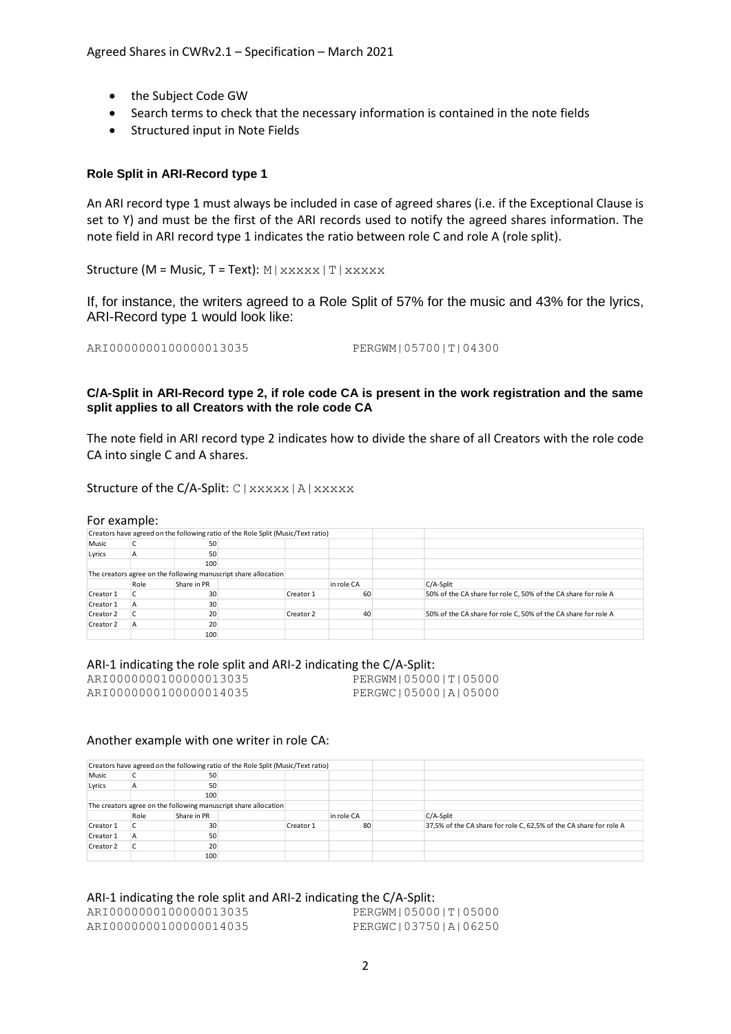- the Subject Code GW
- Search terms to check that the necessary information is contained in the note fields
- Structured input in Note Fields

### **Role Split in ARI-Record type 1**

An ARI record type 1 must always be included in case of agreed shares (i.e. if the Exceptional Clause is set to Y) and must be the first of the ARI records used to notify the agreed shares information. The note field in ARI record type 1 indicates the ratio between role C and role A (role split).

Structure (M = Music, T = Text):  $M | Xxxxx|T | Xxxxxx$ 

If, for instance, the writers agreed to a Role Split of 57% for the music and 43% for the lyrics, ARI-Record type 1 would look like:

ARI0000000100000013035 PERGWM|05700|T|04300

### **C/A-Split in ARI-Record type 2, if role code CA is present in the work registration and the same split applies to all Creators with the role code CA**

The note field in ARI record type 2 indicates how to divide the share of all Creators with the role code CA into single C and A shares.

Structure of the C/A-Split: C | xxxxx | A | xxxxx

#### For example:

|           |      |             | Creators have agreed on the following ratio of the Role Split (Music/Text ratio) |            |                                                                |
|-----------|------|-------------|----------------------------------------------------------------------------------|------------|----------------------------------------------------------------|
| Music     |      | 50          |                                                                                  |            |                                                                |
| Lyrics    | A    | 50          |                                                                                  |            |                                                                |
|           |      | 100         |                                                                                  |            |                                                                |
|           |      |             | The creators agree on the following manuscript share allocation                  |            |                                                                |
|           | Role | Share in PR |                                                                                  | in role CA | $C/A$ -Split                                                   |
| Creator 1 |      | 30          | Creator 1                                                                        | 60         | 50% of the CA share for role C, 50% of the CA share for role A |
| Creator 1 | A    | 30          |                                                                                  |            |                                                                |
| Creator 2 |      | 20          | Creator 2                                                                        | 40         | 50% of the CA share for role C, 50% of the CA share for role A |
| Creator 2 |      | 20          |                                                                                  |            |                                                                |
|           |      | 100         |                                                                                  |            |                                                                |

# ARI-1 indicating the role split and ARI-2 indicating the C/A-Split:<br>ARI00000000100000013035 PERGWM 05000 | T | 05000

ARI00000001000000013035 ARI0000000100000014035 PERGWC|05000|A|05000

### Another example with one writer in role CA:

|           |                     |     | Creators have agreed on the following ratio of the Role Split (Music/Text ratio) |            |              |                                                                    |
|-----------|---------------------|-----|----------------------------------------------------------------------------------|------------|--------------|--------------------------------------------------------------------|
| Music     |                     | 50  |                                                                                  |            |              |                                                                    |
| Lyrics    | A                   | 50  |                                                                                  |            |              |                                                                    |
|           |                     | 100 |                                                                                  |            |              |                                                                    |
|           |                     |     | The creators agree on the following manuscript share allocation                  |            |              |                                                                    |
|           | Share in PR<br>Role |     |                                                                                  | in role CA | $C/A$ -Split |                                                                    |
| Creator 1 |                     | 30  |                                                                                  | Creator 1  | 80           | 37,5% of the CA share for role C, 62,5% of the CA share for role A |
| Creator 1 | А                   | 50  |                                                                                  |            |              |                                                                    |
| Creator 2 |                     | 20  |                                                                                  |            |              |                                                                    |
|           |                     | 100 |                                                                                  |            |              |                                                                    |

### ARI-1 indicating the role split and ARI-2 indicating the C/A-Split:

ARI0000000100000014035 PERGWC|03750|A|06250

ARI0000000100000013035 PERGWM|05000|T|05000